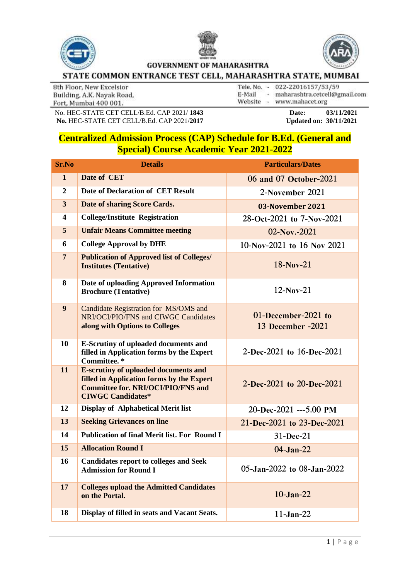



**GOVERNMENT OF MAHARASHTRA** 



## STATE COMMON ENTRANCE TEST CELL, MAHARASHTRA STATE, MUMBAI

8th Floor, New Excelsior Building, A.K. Nayak Road, Fort, Mumbai 400 001.

Tele. No. - 022-22016157/53/59 E-Mail - maharashtra.cetcell@gmail.com Website - www.mahacet.org

No. HEC-STATE CET CELL/B.Ed. CAP 2021/1843 Date: 03/11/2021<br> **No. HEC-STATE CET CELL/B.Ed. CAP 2021/2017** Updated on: 30/11/2021 **No. HEC-STATE CET CELL/B.Ed. CAP 2021/2017** 

## **Centralized Admission Process (CAP) Schedule for B.Ed. (General and Special) Course Academic Year 2021-2022**

| <b>Sr.No</b>            | <b>Details</b>                                                                                                                                                    | <b>Particulars/Dates</b>                 |
|-------------------------|-------------------------------------------------------------------------------------------------------------------------------------------------------------------|------------------------------------------|
| $\mathbf{1}$            | Date of CET                                                                                                                                                       | 06 and 07 October-2021                   |
| $\overline{2}$          | Date of Declaration of CET Result                                                                                                                                 | 2-November 2021                          |
| $\overline{\mathbf{3}}$ | Date of sharing Score Cards.                                                                                                                                      | 03-November 2021                         |
| $\overline{\mathbf{4}}$ | <b>College/Institute Registration</b>                                                                                                                             | 28-Oct-2021 to 7-Nov-2021                |
| 5                       | <b>Unfair Means Committee meeting</b>                                                                                                                             | $02-Nov - 2021$                          |
| 6                       | <b>College Approval by DHE</b>                                                                                                                                    | 10-Nov-2021 to 16 Nov 2021               |
| $\overline{7}$          | <b>Publication of Approved list of Colleges/</b><br><b>Institutes (Tentative)</b>                                                                                 | $18-Nov-21$                              |
| 8                       | Date of uploading Approved Information<br><b>Brochure (Tentative)</b>                                                                                             | $12-Nov-21$                              |
| 9                       | Candidate Registration for MS/OMS and<br>NRI/OCI/PIO/FNS and CIWGC Candidates<br>along with Options to Colleges                                                   | 01-December-2021 to<br>13 December -2021 |
| 10                      | <b>E-Scrutiny of uploaded documents and</b><br>filled in Application forms by the Expert<br>Committee.*                                                           | 2-Dec-2021 to 16-Dec-2021                |
| 11                      | <b>E-scrutiny of uploaded documents and</b><br>filled in Application forms by the Expert<br><b>Committee for. NRI/OCI/PIO/FNS and</b><br><b>CIWGC Candidates*</b> | 2-Dec-2021 to 20-Dec-2021                |
| 12                      | <b>Display of Alphabetical Merit list</b>                                                                                                                         | 20-Dec-2021 ---5.00 PM                   |
| 13                      | <b>Seeking Grievances on line</b>                                                                                                                                 | 21-Dec-2021 to 23-Dec-2021               |
| 14                      | <b>Publication of final Merit list. For Round I</b>                                                                                                               | $31 - Dec-21$                            |
| 15                      | <b>Allocation Round I</b>                                                                                                                                         | $04-Jan-22$                              |
| 16                      | <b>Candidates report to colleges and Seek</b><br><b>Admission for Round I</b>                                                                                     | 05-Jan-2022 to 08-Jan-2022               |
| 17                      | <b>Colleges upload the Admitted Candidates</b><br>on the Portal.                                                                                                  | $10-Jan-22$                              |
| 18                      | Display of filled in seats and Vacant Seats.                                                                                                                      | $11-Jan-22$                              |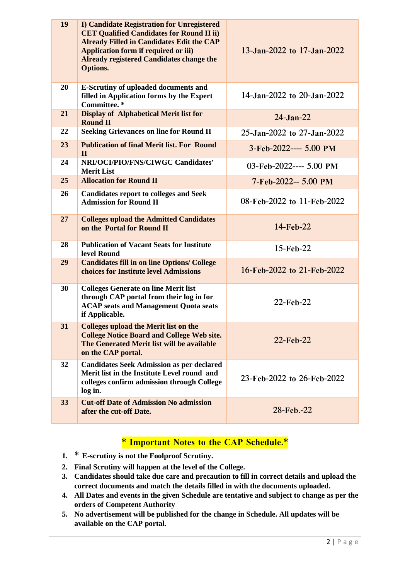| 19 | <b>I) Candidate Registration for Unregistered</b><br><b>CET Qualified Candidates for Round II ii)</b><br><b>Already Filled in Candidates Edit the CAP</b><br><b>Application form if required or iii)</b><br>Already registered Candidates change the<br><b>Options.</b> | 13-Jan-2022 to 17-Jan-2022 |
|----|-------------------------------------------------------------------------------------------------------------------------------------------------------------------------------------------------------------------------------------------------------------------------|----------------------------|
| 20 | <b>E-Scrutiny of uploaded documents and</b><br>filled in Application forms by the Expert<br>Committee.*                                                                                                                                                                 | 14-Jan-2022 to 20-Jan-2022 |
| 21 | <b>Display of Alphabetical Merit list for</b><br><b>Round II</b>                                                                                                                                                                                                        | $24 - Jan - 22$            |
| 22 | <b>Seeking Grievances on line for Round II</b>                                                                                                                                                                                                                          | 25-Jan-2022 to 27-Jan-2022 |
| 23 | <b>Publication of final Merit list. For Round</b><br>$\mathbf{I}$                                                                                                                                                                                                       | 3-Feb-2022---- 5.00 PM     |
| 24 | NRI/OCI/PIO/FNS/CIWGC Candidates'<br><b>Merit List</b>                                                                                                                                                                                                                  | 03-Feb-2022---- 5.00 PM    |
| 25 | <b>Allocation for Round II</b>                                                                                                                                                                                                                                          | 7-Feb-2022-- 5.00 PM       |
| 26 | <b>Candidates report to colleges and Seek</b><br><b>Admission for Round II</b>                                                                                                                                                                                          | 08-Feb-2022 to 11-Feb-2022 |
| 27 | <b>Colleges upload the Admitted Candidates</b><br>on the Portal for Round II                                                                                                                                                                                            | 14-Feb-22                  |
| 28 | <b>Publication of Vacant Seats for Institute</b><br>level Round                                                                                                                                                                                                         | 15-Feb-22                  |
| 29 | <b>Candidates fill in on line Options/ College</b><br>choices for Institute level Admissions                                                                                                                                                                            | 16-Feb-2022 to 21-Feb-2022 |
| 30 | <b>Colleges Generate on line Merit list</b><br>through CAP portal from their log in for<br><b>ACAP</b> seats and Management Quota seats<br>if Applicable.                                                                                                               | 22-Feb-22                  |
| 31 | <b>Colleges upload the Merit list on the</b><br><b>College Notice Board and College Web site.</b><br>The Generated Merit list will be available<br>on the CAP portal.                                                                                                   | 22-Feb-22                  |
| 32 | <b>Candidates Seek Admission as per declared</b><br>Merit list in the Institute Level round and<br>colleges confirm admission through College<br>log in.                                                                                                                | 23-Feb-2022 to 26-Feb-2022 |
| 33 | <b>Cut-off Date of Admission No admission</b><br>after the cut-off Date.                                                                                                                                                                                                | 28-Feb.-22                 |

## **\* Important Notes to the CAP Schedule.\***

- **1. \* E-scrutiny is not the Foolproof Scrutiny.**
- **2. Final Scrutiny will happen at the level of the College.**
- **3. Candidates should take due care and precaution to fill in correct details and upload the correct documents and match the details filled in with the documents uploaded.**
- **4. All Dates and events in the given Schedule are tentative and subject to change as per the orders of Competent Authority**
- **5. No advertisement will be published for the change in Schedule. All updates will be available on the CAP portal.**